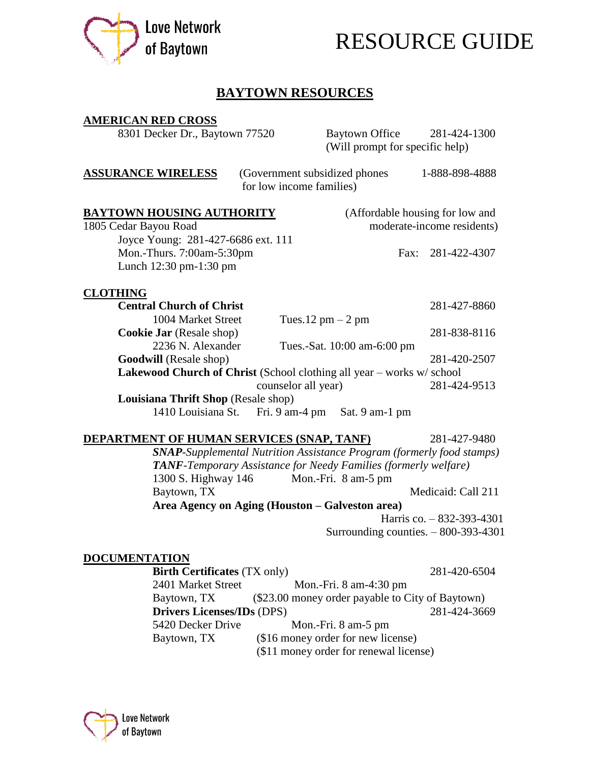



# **BAYTOWN RESOURCES**

| <b>AMERICAN RED CROSS</b>                                                   |                          |                                                                              |                                 |
|-----------------------------------------------------------------------------|--------------------------|------------------------------------------------------------------------------|---------------------------------|
| 8301 Decker Dr., Baytown 77520                                              |                          | <b>Baytown Office</b><br>(Will prompt for specific help)                     | 281-424-1300                    |
| <u>ASSURANCE WIRELESS</u>                                                   | for low income families) | (Government subsidized phones                                                | 1-888-898-4888                  |
| <u>BAYTOWN HOUSING AUTHORITY</u>                                            |                          |                                                                              | (Affordable housing for low and |
| 1805 Cedar Bayou Road                                                       |                          |                                                                              | moderate-income residents)      |
| Joyce Young: 281-427-6686 ext. 111                                          |                          |                                                                              |                                 |
| Mon.-Thurs. 7:00am-5:30pm                                                   |                          | Fax:                                                                         | 281-422-4307                    |
| Lunch 12:30 pm-1:30 pm                                                      |                          |                                                                              |                                 |
| <b>CLOTHING</b>                                                             |                          |                                                                              |                                 |
| <b>Central Church of Christ</b>                                             |                          |                                                                              | 281-427-8860                    |
| 1004 Market Street                                                          |                          | Tues.12 $pm - 2 pm$                                                          |                                 |
| <b>Cookie Jar</b> (Resale shop)                                             |                          |                                                                              | 281-838-8116                    |
| 2236 N. Alexander                                                           |                          | Tues.-Sat. 10:00 am-6:00 pm                                                  |                                 |
| <b>Goodwill</b> (Resale shop)                                               |                          |                                                                              | 281-420-2507                    |
| <b>Lakewood Church of Christ</b> (School clothing all year – works w/school |                          |                                                                              |                                 |
|                                                                             | counselor all year)      |                                                                              | 281-424-9513                    |
| Louisiana Thrift Shop (Resale shop)                                         |                          |                                                                              |                                 |
|                                                                             |                          | 1410 Louisiana St. Fri. 9 am-4 pm Sat. 9 am-1 pm                             |                                 |
| <u>DEPARTMENT OF HUMAN SERVICES (SNAP, TANF)</u>                            |                          |                                                                              | 281-427-9480                    |
|                                                                             |                          | <b>SNAP-Supplemental Nutrition Assistance Program (formerly food stamps)</b> |                                 |
|                                                                             |                          | TANF-Temporary Assistance for Needy Families (formerly welfare)              |                                 |
| 1300 S. Highway 146                                                         |                          | Mon.-Fri. 8 am-5 pm                                                          |                                 |
| Baytown, TX                                                                 |                          |                                                                              | Medicaid: Call 211              |
|                                                                             |                          | Area Agency on Aging (Houston – Galveston area)                              |                                 |
|                                                                             |                          |                                                                              | Harris co. - 832-393-4301       |
|                                                                             |                          | Surrounding counties. $-800-393-4301$                                        |                                 |
| DOCUMENTATION                                                               |                          |                                                                              |                                 |
| <b>Birth Certificates (TX only)</b>                                         |                          |                                                                              | 281-420-6504                    |
| 2401 Market Street                                                          |                          | Mon.-Fri. $8 \text{ am-}4:30 \text{ pm}$                                     |                                 |
| Baytown, TX                                                                 |                          | (\$23.00 money order payable to City of Baytown)                             |                                 |
| <b>Drivers Licenses/IDs (DPS)</b>                                           |                          |                                                                              | 281-424-3669                    |
| 5420 Decker Drive                                                           |                          | Mon.-Fri. 8 am-5 pm                                                          |                                 |
| Baytown, TX                                                                 |                          | (\$16 money order for new license)                                           |                                 |
|                                                                             |                          | (\$11 money order for renewal license)                                       |                                 |

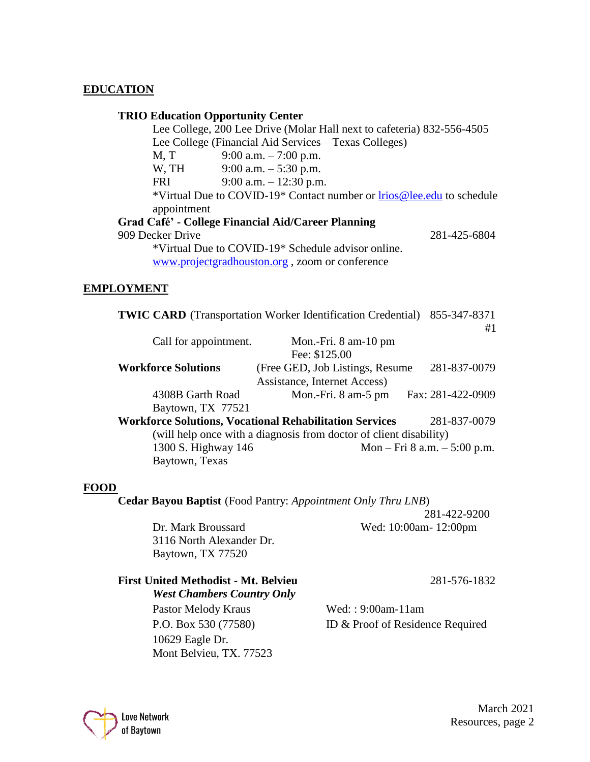## **EDUCATION**

### **TRIO Education Opportunity Center**

Lee College, 200 Lee Drive (Molar Hall next to cafeteria) 832-556-4505 Lee College (Financial Aid Services—Texas Colleges) M, T 9:00 a.m. – 7:00 p.m. W, TH 9:00 a.m. – 5:30 p.m. FRI 9:00 a.m. – 12:30 p.m. \*Virtual Due to COVID-19\* Contact number or [lrios@lee.edu](mailto:lrios@lee.edu) to schedule appointment **Grad Café' - College Financial Aid/Career Planning**  909 Decker Drive 281-425-6804 \*Virtual Due to COVID-19\* Schedule advisor online. [www.projectgradhouston.org](http://www.projectgradhouston.org/) , zoom or conference

#### **EMPLOYMENT**

|                            | <b>TWIC CARD</b> (Transportation Worker Identification Credential) 855-347-8371 |                                |
|----------------------------|---------------------------------------------------------------------------------|--------------------------------|
|                            |                                                                                 | #1                             |
| Call for appointment.      | Mon.-Fri. $8 \text{ am}-10 \text{ pm}$                                          |                                |
|                            | Fee: \$125.00                                                                   |                                |
| <b>Workforce Solutions</b> | (Free GED, Job Listings, Resume)                                                | 281-837-0079                   |
|                            | Assistance, Internet Access)                                                    |                                |
| 4308B Garth Road           | Mon.-Fri. 8 am-5 pm                                                             | Fax: 281-422-0909              |
| Baytown, TX 77521          |                                                                                 |                                |
|                            | <b>Workforce Solutions, Vocational Rehabilitation Services</b>                  | 281-837-0079                   |
|                            | (will help once with a diagnosis from doctor of client disability)              |                                |
| 1300 S. Highway 146        |                                                                                 | Mon – Fri 8 a.m. – $5:00$ p.m. |
| Baytown, Texas             |                                                                                 |                                |

#### **FOOD**

**Cedar Bayou Baptist** (Food Pantry: *Appointment Only Thru LNB*)

 281-422-9200 Dr. Mark Broussard Wed: 10:00am- 12:00pm

3116 North Alexander Dr. Baytown, TX 77520

#### **First United Methodist - Mt. Belvieu** 281-576-1832 *West Chambers Country Only*

Pastor Melody Kraus Wed: : 9:00am-11am 10629 Eagle Dr. Mont Belvieu, TX. 77523

P.O. Box 530 (77580) ID & Proof of Residence Required



March 2021 Love Network<br>of Baytown Resources, page 2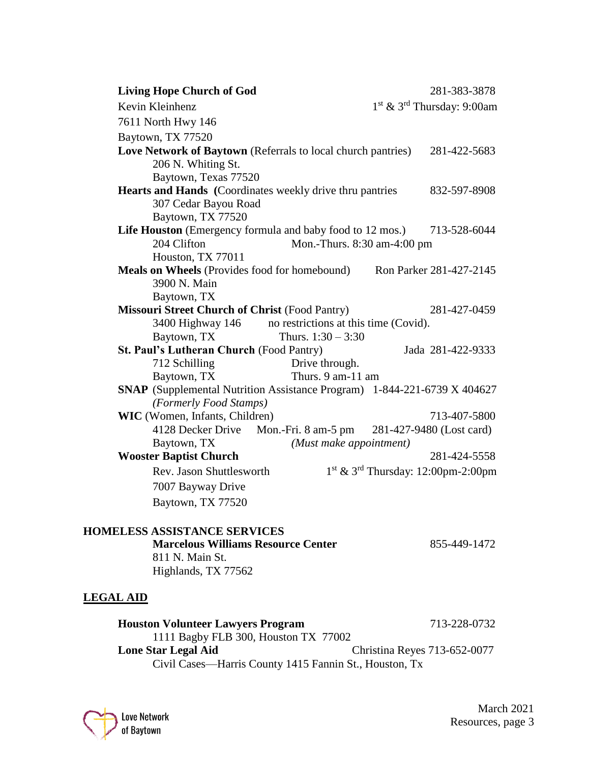| <b>Living Hope Church of God</b>                                    | 281-383-3878                                                             |
|---------------------------------------------------------------------|--------------------------------------------------------------------------|
| Kevin Kleinhenz                                                     | $1st$ & $3rd$ Thursday: 9:00am                                           |
| 7611 North Hwy 146                                                  |                                                                          |
| Baytown, TX 77520                                                   |                                                                          |
| <b>Love Network of Baytown</b> (Referrals to local church pantries) | 281-422-5683                                                             |
| 206 N. Whiting St.                                                  |                                                                          |
| Baytown, Texas 77520                                                |                                                                          |
| <b>Hearts and Hands</b> (Coordinates weekly drive thru pantries     | 832-597-8908                                                             |
| 307 Cedar Bayou Road                                                |                                                                          |
| Baytown, TX 77520                                                   |                                                                          |
|                                                                     | Life Houston (Emergency formula and baby food to 12 mos.) 713-528-6044   |
| 204 Clifton                                                         | Mon.-Thurs. 8:30 am-4:00 pm                                              |
| Houston, TX 77011                                                   |                                                                          |
|                                                                     | Meals on Wheels (Provides food for homebound) Ron Parker 281-427-2145    |
| 3900 N. Main                                                        |                                                                          |
| Baytown, TX                                                         |                                                                          |
| <b>Missouri Street Church of Christ (Food Pantry)</b>               | 281-427-0459                                                             |
| 3400 Highway 146 no restrictions at this time (Covid).              |                                                                          |
| Baytown, TX                                                         | Thurs. $1:30 - 3:30$                                                     |
| <b>St. Paul's Lutheran Church (Food Pantry)</b>                     | Jada 281-422-9333                                                        |
| 712 Schilling                                                       | Drive through.                                                           |
| Baytown, TX                                                         | Thurs. 9 am-11 am                                                        |
|                                                                     | SNAP (Supplemental Nutrition Assistance Program) 1-844-221-6739 X 404627 |
| (Formerly Food Stamps)                                              |                                                                          |
| WIC (Women, Infants, Children)                                      | 713-407-5800                                                             |
|                                                                     | 4128 Decker Drive Mon.-Fri. 8 am-5 pm 281-427-9480 (Lost card)           |
| Baytown, TX                                                         | (Must make appointment)                                                  |
| <b>Wooster Baptist Church</b>                                       | 281-424-5558                                                             |
| Rev. Jason Shuttlesworth                                            | $1st$ & 3 <sup>rd</sup> Thursday: 12:00pm-2:00pm                         |
| 7007 Bayway Drive                                                   |                                                                          |
| Baytown, TX 77520                                                   |                                                                          |

# **HOMELESS ASSISTANCE SERVICES Marcelous Williams Resource Center** 855-449-1472 811 N. Main St. Highlands, TX 77562

## **LEGAL AID**

**Houston Volunteer Lawyers Program** 713-228-0732 1111 Bagby FLB 300, Houston TX 77002 **Lone Star Legal Aid** Christina Reyes 713-652-0077 Civil Cases—Harris County 1415 Fannin St., Houston, Tx

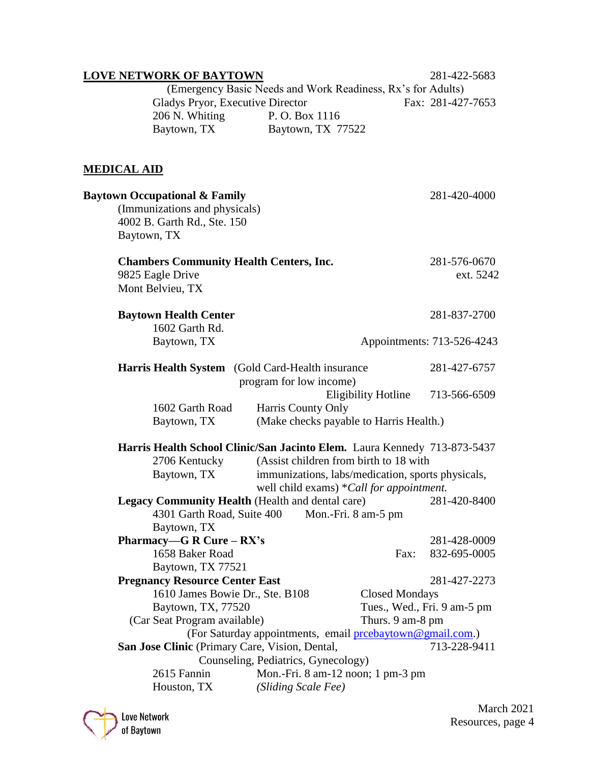| <b>LOVE NETWORK OF BAYTOWN</b>                             |                                                                          | 281-422-5683                |
|------------------------------------------------------------|--------------------------------------------------------------------------|-----------------------------|
|                                                            | (Emergency Basic Needs and Work Readiness, Rx's for Adults)              |                             |
| Gladys Pryor, Executive Director                           |                                                                          | Fax: 281-427-7653           |
| 206 N. Whiting                                             | P.O. Box 1116                                                            |                             |
| Baytown, TX                                                | Baytown, TX 77522                                                        |                             |
|                                                            |                                                                          |                             |
| <b>MEDICAL AID</b>                                         |                                                                          |                             |
| <b>Baytown Occupational &amp; Family</b>                   |                                                                          | 281-420-4000                |
| (Immunizations and physicals)                              |                                                                          |                             |
| 4002 B. Garth Rd., Ste. 150                                |                                                                          |                             |
| Baytown, TX                                                |                                                                          |                             |
| <b>Chambers Community Health Centers, Inc.</b>             |                                                                          | 281-576-0670                |
| 9825 Eagle Drive                                           |                                                                          | ext. 5242                   |
| Mont Belvieu, TX                                           |                                                                          |                             |
| <b>Baytown Health Center</b>                               |                                                                          | 281-837-2700                |
| 1602 Garth Rd.                                             |                                                                          |                             |
| Baytown, TX                                                |                                                                          | Appointments: 713-526-4243  |
| Harris Health System (Gold Card-Health insurance)          |                                                                          | 281-427-6757                |
|                                                            | program for low income)                                                  |                             |
|                                                            | <b>Eligibility Hotline</b>                                               | 713-566-6509                |
| 1602 Garth Road                                            | Harris County Only                                                       |                             |
| Baytown, TX                                                | (Make checks payable to Harris Health.)                                  |                             |
|                                                            | Harris Health School Clinic/San Jacinto Elem. Laura Kennedy 713-873-5437 |                             |
| 2706 Kentucky                                              | (Assist children from birth to 18 with                                   |                             |
| Baytown, TX                                                | immunizations, labs/medication, sports physicals,                        |                             |
|                                                            | well child exams) *Call for appointment.                                 |                             |
| Legacy Community Health (Health and dental care)           |                                                                          | 281-420-8400                |
| 4301 Garth Road, Suite 400                                 | Mon.-Fri. 8 am-5 pm                                                      |                             |
| Baytown, TX                                                |                                                                          |                             |
| Pharmacy—G R Cure – $RX's$                                 |                                                                          | 281-428-0009                |
| 1658 Baker Road                                            | Fax:                                                                     | 832-695-0005                |
| Baytown, TX 77521<br><b>Pregnancy Resource Center East</b> |                                                                          | 281-427-2273                |
| 1610 James Bowie Dr., Ste. B108                            | <b>Closed Mondays</b>                                                    |                             |
| Baytown, TX, 77520                                         |                                                                          | Tues., Wed., Fri. 9 am-5 pm |
| (Car Seat Program available)                               | Thurs. 9 am-8 pm                                                         |                             |
|                                                            | (For Saturday appointments, email preebaytown@gmail.com.)                |                             |
| San Jose Clinic (Primary Care, Vision, Dental,             |                                                                          | 713-228-9411                |
|                                                            | Counseling, Pediatrics, Gynecology)                                      |                             |
| 2615 Fannin                                                | Mon.-Fri. 8 am-12 noon; 1 pm-3 pm                                        |                             |
| Houston, TX                                                | (Sliding Scale Fee)                                                      |                             |

March 2021 Love Network<br>
of Baytown<br>
Resources, page 4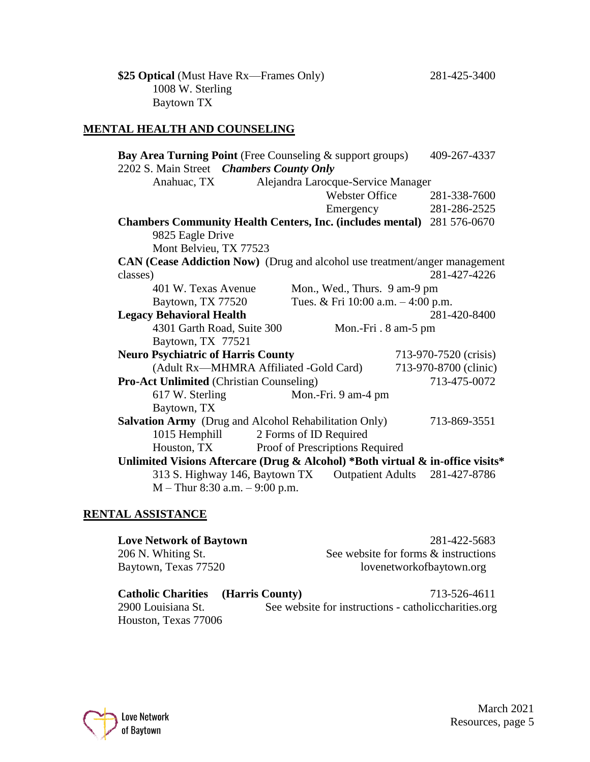**\$25 Optical** (Must Have Rx—Frames Only) 281-425-3400 1008 W. Sterling Baytown TX

# **MENTAL HEALTH AND COUNSELING**

| <b>Bay Area Turning Point</b> (Free Counseling & support groups)               |                                                  | 409-267-4337          |
|--------------------------------------------------------------------------------|--------------------------------------------------|-----------------------|
| 2202 S. Main Street Chambers County Only                                       |                                                  |                       |
| Anahuac, TX                                                                    | Alejandra Larocque-Service Manager               |                       |
|                                                                                | <b>Webster Office</b>                            | 281-338-7600          |
|                                                                                | Emergency                                        | 281-286-2525          |
| <b>Chambers Community Health Centers, Inc. (includes mental)</b> 281 576-0670  |                                                  |                       |
| 9825 Eagle Drive                                                               |                                                  |                       |
| Mont Belvieu, TX 77523                                                         |                                                  |                       |
| CAN (Cease Addiction Now) (Drug and alcohol use treatment/anger management     |                                                  |                       |
| classes)                                                                       |                                                  | 281-427-4226          |
| 401 W. Texas Avenue                                                            | Mon., Wed., Thurs. 9 am-9 pm                     |                       |
| Baytown, TX 77520                                                              | Tues. & Fri $10:00$ a.m. $-4:00$ p.m.            |                       |
| <b>Legacy Behavioral Health</b>                                                |                                                  | 281-420-8400          |
| 4301 Garth Road, Suite 300                                                     | Mon.-Fri. 8 am-5 pm                              |                       |
| Baytown, TX 77521                                                              |                                                  |                       |
| <b>Neuro Psychiatric of Harris County</b>                                      |                                                  | 713-970-7520 (crisis) |
|                                                                                | (Adult Rx—MHMRA Affiliated -Gold Card)           | 713-970-8700 (clinic) |
| <b>Pro-Act Unlimited (Christian Counseling)</b>                                |                                                  | 713-475-0072          |
| 617 W. Sterling                                                                | Mon.-Fri. 9 am-4 pm                              |                       |
| Baytown, TX                                                                    |                                                  |                       |
| Salvation Army (Drug and Alcohol Rehabilitation Only)                          |                                                  | 713-869-3551          |
|                                                                                | 1015 Hemphill 2 Forms of ID Required             |                       |
|                                                                                | Houston, TX Proof of Prescriptions Required      |                       |
| Unlimited Visions Aftercare (Drug & Alcohol) *Both virtual & in-office visits* |                                                  |                       |
|                                                                                | 313 S. Highway 146, Baytown TX Outpatient Adults | 281-427-8786          |
| $M - Thur 8:30 a.m. - 9:00 p.m.$                                               |                                                  |                       |

# **RENTAL ASSISTANCE**

| <b>Love Network of Baytown</b> | 281-422-5683                         |
|--------------------------------|--------------------------------------|
| 206 N. Whiting St.             | See website for forms & instructions |
| Baytown, Texas 77520           | lovenetworkofbaytown.org             |
|                                |                                      |

| <b>Catholic Charities</b> (Harris County) | 713-526-4611                                          |
|-------------------------------------------|-------------------------------------------------------|
| 2900 Louisiana St.                        | See website for instructions - catholic charities.org |
| Houston, Texas 77006                      |                                                       |

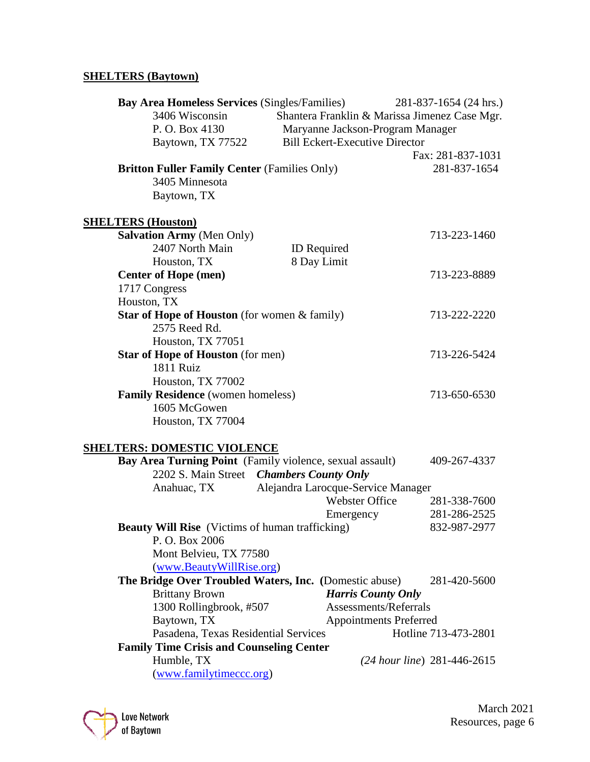# **SHELTERS (Baytown)**

| <b>Bay Area Homeless Services (Singles/Families)</b><br>3406 Wisconsin | Shantera Franklin & Marissa Jimenez Case Mgr. | 281-837-1654 (24 hrs.)      |
|------------------------------------------------------------------------|-----------------------------------------------|-----------------------------|
| P. O. Box 4130                                                         | Maryanne Jackson-Program Manager              |                             |
| Baytown, TX 77522                                                      | <b>Bill Eckert-Executive Director</b>         |                             |
|                                                                        |                                               | Fax: 281-837-1031           |
| <b>Britton Fuller Family Center (Families Only)</b>                    |                                               | 281-837-1654                |
| 3405 Minnesota                                                         |                                               |                             |
|                                                                        |                                               |                             |
| Baytown, TX                                                            |                                               |                             |
| <b>SHELTERS (Houston)</b>                                              |                                               |                             |
| <b>Salvation Army (Men Only)</b>                                       |                                               | 713-223-1460                |
| 2407 North Main                                                        | ID Required                                   |                             |
| Houston, TX                                                            | 8 Day Limit                                   |                             |
| <b>Center of Hope (men)</b>                                            |                                               | 713-223-8889                |
| 1717 Congress                                                          |                                               |                             |
| Houston, TX                                                            |                                               |                             |
| Star of Hope of Houston (for women & family)                           |                                               | 713-222-2220                |
| 2575 Reed Rd.                                                          |                                               |                             |
| Houston, TX 77051                                                      |                                               |                             |
| <b>Star of Hope of Houston</b> (for men)                               |                                               | 713-226-5424                |
| 1811 Ruiz                                                              |                                               |                             |
| Houston, TX 77002                                                      |                                               |                             |
| Family Residence (women homeless)                                      |                                               | 713-650-6530                |
| 1605 McGowen                                                           |                                               |                             |
| Houston, TX 77004                                                      |                                               |                             |
|                                                                        |                                               |                             |
| <b>SHELTERS: DOMESTIC VIOLENCE</b>                                     |                                               |                             |
| Bay Area Turning Point (Family violence, sexual assault)               |                                               | 409-267-4337                |
| 2202 S. Main Street Chambers County Only                               |                                               |                             |
| Anahuac, TX                                                            | Alejandra Larocque-Service Manager            |                             |
|                                                                        | <b>Webster Office</b>                         | 281-338-7600                |
|                                                                        | Emergency                                     | 281-286-2525                |
| <b>Beauty Will Rise</b> (Victims of human trafficking)                 |                                               | 832-987-2977                |
| P.O. Box 2006                                                          |                                               |                             |
| Mont Belvieu, TX 77580                                                 |                                               |                             |
| (www.BeautyWillRise.org)                                               |                                               |                             |
| The Bridge Over Troubled Waters, Inc. (Domestic abuse)                 |                                               | 281-420-5600                |
| <b>Brittany Brown</b>                                                  | <b>Harris County Only</b>                     |                             |
| 1300 Rollingbrook, #507                                                | Assessments/Referrals                         |                             |
| Baytown, TX                                                            | <b>Appointments Preferred</b>                 |                             |
| Pasadena, Texas Residential Services                                   |                                               | Hotline 713-473-2801        |
| <b>Family Time Crisis and Counseling Center</b>                        |                                               |                             |
| Humble, TX                                                             |                                               | (24 hour line) 281-446-2615 |
| (www.familytimecc.org)                                                 |                                               |                             |

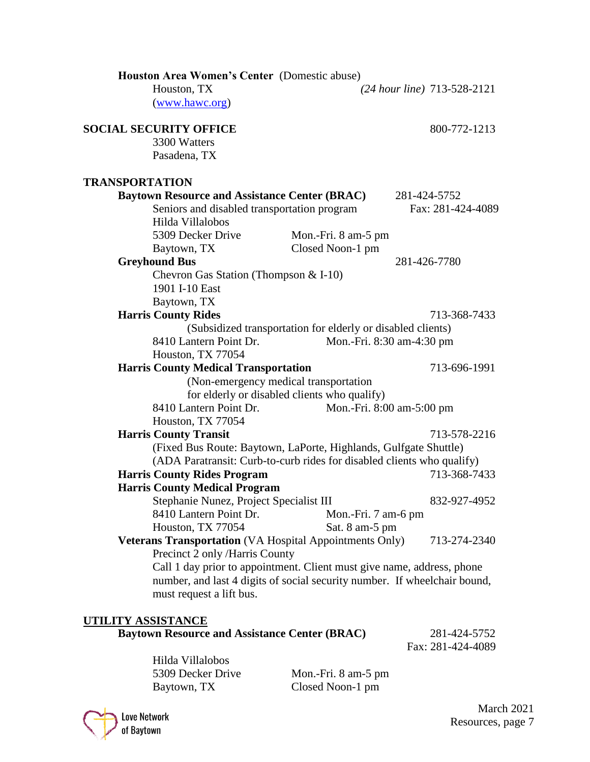| Houston Area Women's Center (Domestic abuse)                              |                                                             |                             |
|---------------------------------------------------------------------------|-------------------------------------------------------------|-----------------------------|
| Houston, TX                                                               |                                                             | (24 hour line) 713-528-2121 |
| (www.hawc.org)                                                            |                                                             |                             |
| <b>SOCIAL SECURITY OFFICE</b>                                             |                                                             | 800-772-1213                |
| 3300 Watters                                                              |                                                             |                             |
| Pasadena, TX                                                              |                                                             |                             |
|                                                                           |                                                             |                             |
| <b>TRANSPORTATION</b>                                                     |                                                             |                             |
| <b>Baytown Resource and Assistance Center (BRAC)</b>                      |                                                             | 281-424-5752                |
| Seniors and disabled transportation program                               |                                                             | Fax: 281-424-4089           |
| Hilda Villalobos                                                          |                                                             |                             |
| 5309 Decker Drive                                                         | Mon.-Fri. 8 am-5 pm                                         |                             |
| Baytown, TX                                                               | Closed Noon-1 pm                                            |                             |
| <b>Greyhound Bus</b>                                                      |                                                             | 281-426-7780                |
| Chevron Gas Station (Thompson & I-10)                                     |                                                             |                             |
| 1901 I-10 East                                                            |                                                             |                             |
| Baytown, TX                                                               |                                                             |                             |
| <b>Harris County Rides</b>                                                |                                                             | 713-368-7433                |
|                                                                           | (Subsidized transportation for elderly or disabled clients) |                             |
| 8410 Lantern Point Dr.                                                    | Mon.-Fri. 8:30 am-4:30 pm                                   |                             |
| Houston, TX 77054                                                         |                                                             |                             |
| <b>Harris County Medical Transportation</b>                               |                                                             | 713-696-1991                |
|                                                                           | (Non-emergency medical transportation                       |                             |
|                                                                           | for elderly or disabled clients who qualify)                |                             |
| 8410 Lantern Point Dr.                                                    | Mon.-Fri. 8:00 am-5:00 pm                                   |                             |
| Houston, TX 77054                                                         |                                                             |                             |
| <b>Harris County Transit</b>                                              |                                                             | 713-578-2216                |
| (Fixed Bus Route: Baytown, LaPorte, Highlands, Gulfgate Shuttle)          |                                                             |                             |
| (ADA Paratransit: Curb-to-curb rides for disabled clients who qualify)    |                                                             |                             |
| <b>Harris County Rides Program</b>                                        |                                                             | 713-368-7433                |
| <b>Harris County Medical Program</b>                                      |                                                             |                             |
| Stephanie Nunez, Project Specialist III                                   |                                                             | 832-927-4952                |
| 8410 Lantern Point Dr.                                                    | Mon.-Fri. 7 am-6 pm                                         |                             |
| Houston, TX 77054                                                         | Sat. 8 am-5 pm                                              |                             |
| <b>Veterans Transportation</b> (VA Hospital Appointments Only)            |                                                             | 713-274-2340                |
| Precinct 2 only /Harris County                                            |                                                             |                             |
| Call 1 day prior to appointment. Client must give name, address, phone    |                                                             |                             |
| number, and last 4 digits of social security number. If wheelchair bound, |                                                             |                             |
| must request a lift bus.                                                  |                                                             |                             |
|                                                                           |                                                             |                             |
| UTILITY ASSISTANCE                                                        |                                                             |                             |
| <b>Baytown Resource and Assistance Center (BRAC)</b>                      |                                                             | 281-424-5752                |

Fax: 281-424-4089

Hilda Villalobos<br>5309 Decker Drive

Mon.-Fri. 8 am-5 pm Baytown, TX Closed Noon-1 pm



March 2021 Love Network<br>
of Baytown<br>
Resources, page 7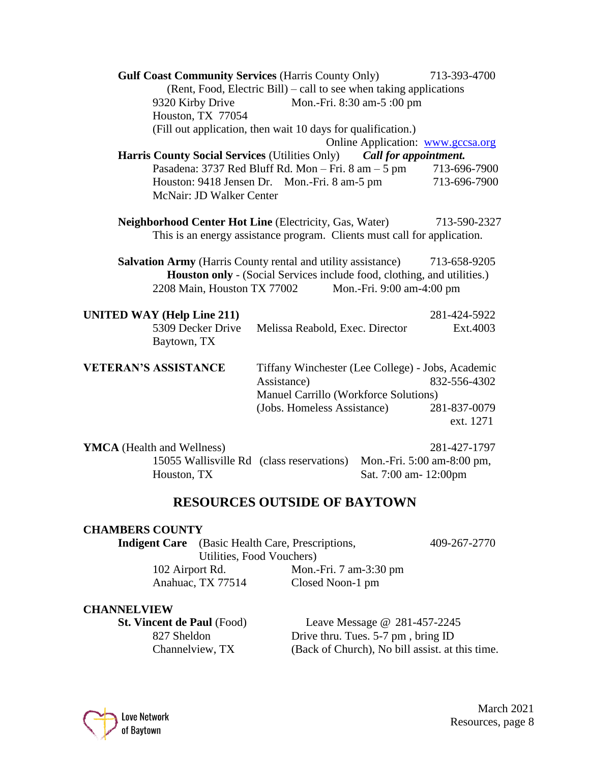| <b>Gulf Coast Community Services (Harris County Only)</b><br>9320 Kirby Drive<br>Houston, TX 77054 | (Rent, Food, Electric Bill) – call to see when taking applications<br>Mon.-Fri. 8:30 am-5:00 pm           |                                                     | 713-393-4700              |
|----------------------------------------------------------------------------------------------------|-----------------------------------------------------------------------------------------------------------|-----------------------------------------------------|---------------------------|
|                                                                                                    | (Fill out application, then wait 10 days for qualification.)                                              |                                                     |                           |
|                                                                                                    |                                                                                                           | Online Application: www.gccsa.org                   |                           |
| Harris County Social Services (Utilities Only) Call for appointment.                               |                                                                                                           |                                                     |                           |
|                                                                                                    | Pasadena: 3737 Red Bluff Rd. Mon - Fri. 8 am - 5 pm                                                       |                                                     | 713-696-7900              |
| McNair: JD Walker Center                                                                           | Houston: 9418 Jensen Dr. Mon.-Fri. 8 am-5 pm                                                              |                                                     | 713-696-7900              |
| <b>Neighborhood Center Hot Line (Electricity, Gas, Water)</b>                                      | This is an energy assistance program. Clients must call for application.                                  |                                                     | 713-590-2327              |
| <b>Salvation Army</b> (Harris County rental and utility assistance)<br>2208 Main, Houston TX 77002 | Houston only - (Social Services include food, clothing, and utilities.)                                   | Mon.-Fri. 9:00 am-4:00 pm                           | 713-658-9205              |
| <b>UNITED WAY (Help Line 211)</b>                                                                  |                                                                                                           |                                                     | 281-424-5922              |
| 5309 Decker Drive<br>Baytown, TX                                                                   | Melissa Reabold, Exec. Director                                                                           |                                                     | Ext.4003                  |
| <b>VETERAN'S ASSISTANCE</b>                                                                        | Tiffany Winchester (Lee College) - Jobs, Academic<br>Assistance)<br>Manuel Carrillo (Workforce Solutions) |                                                     | 832-556-4302              |
|                                                                                                    | (Jobs. Homeless Assistance)                                                                               |                                                     | 281-837-0079<br>ext. 1271 |
| <b>YMCA</b> (Health and Wellness)<br>15055 Wallisville Rd (class reservations)<br>Houston, TX      |                                                                                                           | Mon.-Fri. 5:00 am-8:00 pm,<br>Sat. 7:00 am- 12:00pm | 281-427-1797              |

# **RESOURCES OUTSIDE OF BAYTOWN**

## **CHAMBERS COUNTY**

**Indigent Care** (Basic Health Care, Prescriptions, 409-267-2770)

Utilities, Food Vouchers)<br>102 Airport Rd. Mon.-

Mon.-Fri. 7 am-3:30 pm Anahuac, TX 77514 Closed Noon-1 pm

### **CHANNELVIEW**

**St. Vincent de Paul** (Food) Leave Message @ 281-457-2245<br>827 Sheldon Drive thru. Tues. 5-7 pm, bring ID Drive thru. Tues. 5-7 pm, bring ID Channelview, TX (Back of Church), No bill assist. at this time.

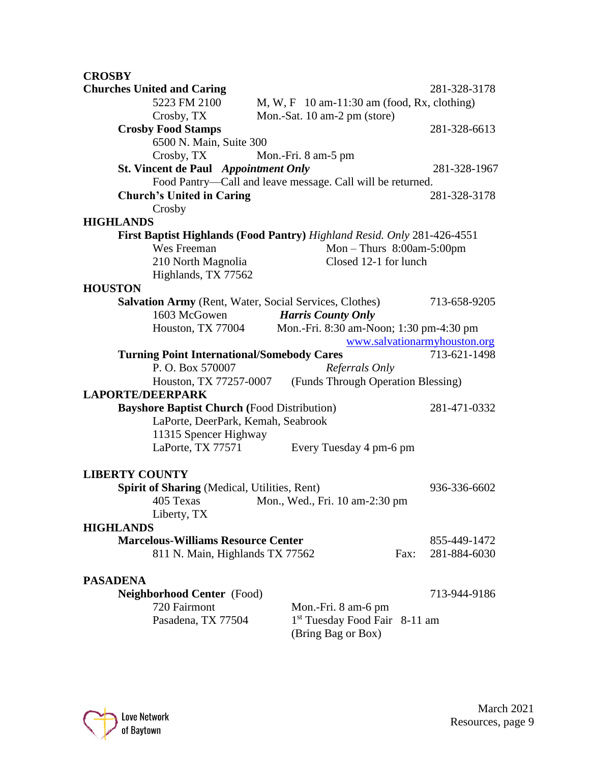# **CROSBY**

| <b>Churches United and Caring</b>                                       |                                                            | 281-328-3178                 |
|-------------------------------------------------------------------------|------------------------------------------------------------|------------------------------|
| 5223 FM 2100                                                            | $M, W, F$ 10 am-11:30 am (food, Rx, clothing)              |                              |
| Crosby, TX                                                              | Mon.-Sat. 10 am-2 pm (store)                               |                              |
| <b>Crosby Food Stamps</b>                                               |                                                            | 281-328-6613                 |
| 6500 N. Main, Suite 300                                                 |                                                            |                              |
| Crosby, TX                                                              | Mon.-Fri. 8 am-5 pm                                        |                              |
| <b>St. Vincent de Paul</b> Appointment Only                             |                                                            | 281-328-1967                 |
|                                                                         | Food Pantry-Call and leave message. Call will be returned. |                              |
| <b>Church's United in Caring</b>                                        |                                                            | 281-328-3178                 |
| Crosby                                                                  |                                                            |                              |
| <b>HIGHLANDS</b>                                                        |                                                            |                              |
| First Baptist Highlands (Food Pantry) Highland Resid. Only 281-426-4551 |                                                            |                              |
| Wes Freeman                                                             | Mon $-$ Thurs $8:00$ am $-5:00$ pm                         |                              |
| 210 North Magnolia                                                      | Closed 12-1 for lunch                                      |                              |
| Highlands, TX 77562                                                     |                                                            |                              |
| <b>HOUSTON</b>                                                          |                                                            |                              |
| Salvation Army (Rent, Water, Social Services, Clothes)                  |                                                            | 713-658-9205                 |
| 1603 McGowen                                                            | <b>Harris County Only</b>                                  |                              |
|                                                                         | Houston, TX 77004 Mon.-Fri. 8:30 am-Noon; 1:30 pm-4:30 pm  |                              |
|                                                                         |                                                            | www.salvationarmyhouston.org |
| <b>Turning Point International/Somebody Cares</b>                       |                                                            | 713-621-1498                 |
| P.O. Box 570007                                                         | Referrals Only                                             |                              |
| Houston, TX 77257-0007                                                  | (Funds Through Operation Blessing)                         |                              |
| <b>LAPORTE/DEERPARK</b>                                                 |                                                            |                              |
| <b>Bayshore Baptist Church (Food Distribution)</b>                      |                                                            | 281-471-0332                 |
| LaPorte, DeerPark, Kemah, Seabrook                                      |                                                            |                              |
| 11315 Spencer Highway                                                   |                                                            |                              |
| LaPorte, TX 77571                                                       | Every Tuesday 4 pm-6 pm                                    |                              |
|                                                                         |                                                            |                              |
| <b>LIBERTY COUNTY</b>                                                   |                                                            |                              |
| <b>Spirit of Sharing (Medical, Utilities, Rent)</b>                     |                                                            | 936-336-6602                 |
| 405 Texas                                                               | Mon., Wed., Fri. 10 am-2:30 pm                             |                              |
| Liberty, TX                                                             |                                                            |                              |
| <b>HIGHLANDS</b>                                                        |                                                            |                              |
| <b>Marcelous-Williams Resource Center</b>                               |                                                            | 855-449-1472                 |
| 811 N. Main, Highlands TX 77562                                         |                                                            | Fax:<br>281-884-6030         |
|                                                                         |                                                            |                              |
| <b>PASADENA</b>                                                         |                                                            |                              |
| Neighborhood Center (Food)                                              |                                                            | 713-944-9186                 |
| 720 Fairmont                                                            | Mon.-Fri. 8 am-6 pm                                        |                              |
| Pasadena, TX 77504                                                      | 1 <sup>st</sup> Tuesday Food Fair 8-11 am                  |                              |
|                                                                         | (Bring Bag or Box)                                         |                              |